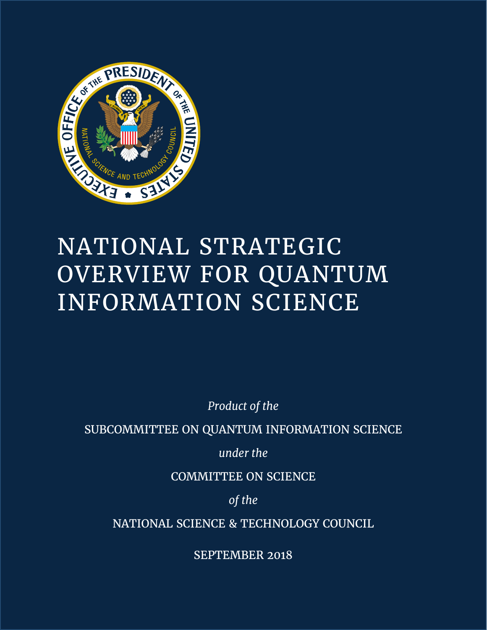

# NATIONAL STRATEGIC OVERVIEW FOR QUANTUM INFORMATION SCIENCE

*Product of the* 

SUBCOMMITTEE ON QUANTUM INFORMATION SCIENCE

*under the* 

COMMITTEE ON SCIENCE

*of the* 

NATIONAL SCIENCE & TECHNOLOGY COUNCIL

SEPTEMBER 2018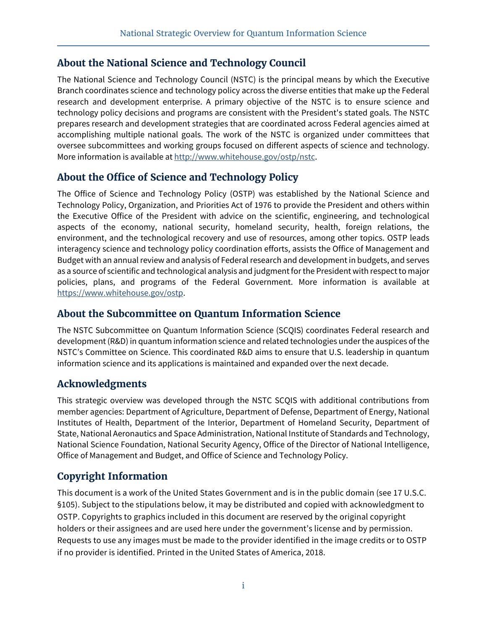## **About the National Science and Technology Council**

The National Science and Technology Council (NSTC) is the principal means by which the Executive Branch coordinates science and technology policy across the diverse entities that make up the Federal research and development enterprise. A primary objective of the NSTC is to ensure science and technology policy decisions and programs are consistent with the President's stated goals. The NSTC prepares research and development strategies that are coordinated across Federal agencies aimed at accomplishing multiple national goals. The work of the NSTC is organized under committees that oversee subcommittees and working groups focused on different aspects of science and technology. More information is available at http://www.whitehouse.gov/ostp/nstc.

## **About the Office of Science and Technology Policy**

The Office of Science and Technology Policy (OSTP) was established by the National Science and Technology Policy, Organization, and Priorities Act of 1976 to provide the President and others within the Executive Office of the President with advice on the scientific, engineering, and technological aspects of the economy, national security, homeland security, health, foreign relations, the environment, and the technological recovery and use of resources, among other topics. OSTP leads interagency science and technology policy coordination efforts, assists the Office of Management and Budget with an annual review and analysis of Federal research and development in budgets, and serves as a source of scientific and technological analysis and judgment for the President with respect to major policies, plans, and programs of the Federal Government. More information is available at https://www.whitehouse.gov/ostp.

#### **About the Subcommittee on Quantum Information Science**

The NSTC Subcommittee on Quantum Information Science (SCQIS) coordinates Federal research and development (R&D) in quantum information science and related technologies under the auspices of the NSTC's Committee on Science. This coordinated R&D aims to ensure that U.S. leadership in quantum information science and its applications is maintained and expanded over the next decade.

## **Acknowledgments**

This strategic overview was developed through the NSTC SCQIS with additional contributions from member agencies: Department of Agriculture, Department of Defense, Department of Energy, National Institutes of Health, Department of the Interior, Department of Homeland Security, Department of State, National Aeronautics and Space Administration, National Institute of Standards and Technology, National Science Foundation, National Security Agency, Office of the Director of National Intelligence, Office of Management and Budget, and Office of Science and Technology Policy.

## **Copyright Information**

This document is a work of the United States Government and is in the public domain (see 17 U.S.C. §105). Subject to the stipulations below, it may be distributed and copied with acknowledgment to OSTP. Copyrights to graphics included in this document are reserved by the original copyright holders or their assignees and are used here under the government's license and by permission. Requests to use any images must be made to the provider identified in the image credits or to OSTP if no provider is identified. Printed in the United States of America, 2018.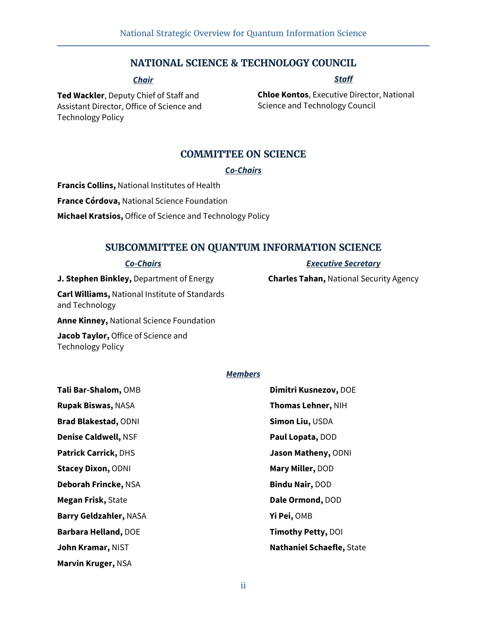#### **NATIONAL SCIENCE & TECHNOLOGY COUNCIL**

#### *Chair*

#### *Staff*

*Executive Secretary* **Charles Tahan,** National Security Agency

**Ted Wackler**, Deputy Chief of Staff and Assistant Director, Office of Science and Technology Policy

**Chloe Kontos**, Executive Director, National Science and Technology Council

#### **COMMITTEE ON SCIENCE**

#### *Co-Chairs*

**Francis Collins,** National Institutes of Health **France Córdova,** National Science Foundation **Michael Kratsios,** Office of Science and Technology Policy

#### **SUBCOMMITTEE ON QUANTUM INFORMATION SCIENCE**

#### *Co-Chairs*

**J. Stephen Binkley,** Department of Energy

**Carl Williams,** National Institute of Standards and Technology

**Anne Kinney,** National Science Foundation

**Jacob Taylor,** Office of Science and Technology Policy

#### *Members*

| Tali Bar-Shalom, OMB          | Dimitri Kusnezov, DOE            |
|-------------------------------|----------------------------------|
| <b>Rupak Biswas, NASA</b>     | Thomas Lehner, NIH               |
| <b>Brad Blakestad, ODNI</b>   | Simon Liu, USDA                  |
| <b>Denise Caldwell, NSF</b>   | Paul Lopata, DOD                 |
| <b>Patrick Carrick, DHS</b>   | Jason Matheny, ODNI              |
| <b>Stacey Dixon, ODNI</b>     | Mary Miller, DOD                 |
| Deborah Frincke, NSA          | <b>Bindu Nair, DOD</b>           |
| <b>Megan Frisk, State</b>     | Dale Ormond, DOD                 |
| <b>Barry Geldzahler, NASA</b> | Yi Pei, OMB                      |
| <b>Barbara Helland, DOE</b>   | Timothy Petty, DOI               |
| John Kramar, NIST             | <b>Nathaniel Schaefle, State</b> |
| Marvin Kruger, NSA            |                                  |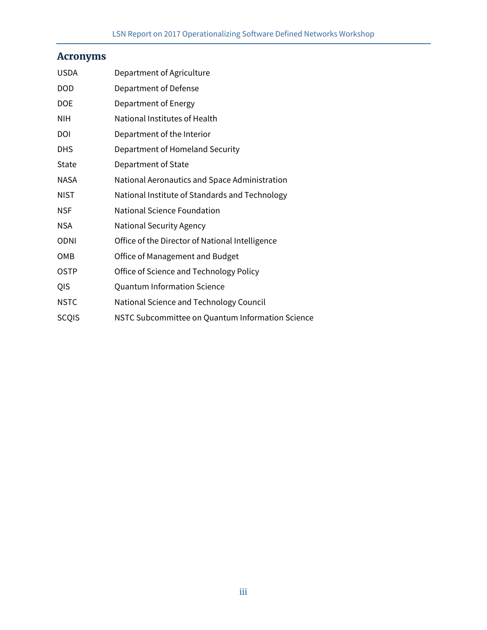# **Acronyms**

| <b>USDA</b>  | Department of Agriculture                        |
|--------------|--------------------------------------------------|
| <b>DOD</b>   | Department of Defense                            |
| DOE          | Department of Energy                             |
| <b>NIH</b>   | National Institutes of Health                    |
| DOI          | Department of the Interior                       |
| <b>DHS</b>   | Department of Homeland Security                  |
| State        | Department of State                              |
| <b>NASA</b>  | National Aeronautics and Space Administration    |
| <b>NIST</b>  | National Institute of Standards and Technology   |
| <b>NSF</b>   | <b>National Science Foundation</b>               |
| <b>NSA</b>   | <b>National Security Agency</b>                  |
| <b>ODNI</b>  | Office of the Director of National Intelligence  |
| OMB          | Office of Management and Budget                  |
| <b>OSTP</b>  | Office of Science and Technology Policy          |
| QIS          | <b>Quantum Information Science</b>               |
| <b>NSTC</b>  | National Science and Technology Council          |
| <b>SCQIS</b> | NSTC Subcommittee on Quantum Information Science |
|              |                                                  |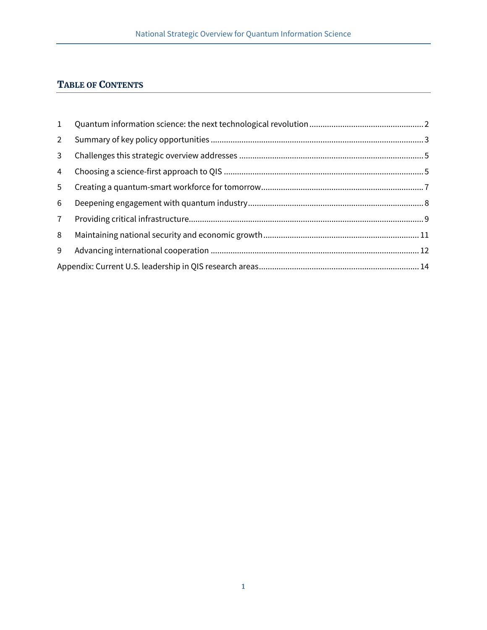## **TABLE OF CONTENTS**

| 1              |  |
|----------------|--|
| $2^{\circ}$    |  |
| 3 <sup>7</sup> |  |
| $\overline{4}$ |  |
| 5 <sup>5</sup> |  |
| 6              |  |
| 7 <sup>7</sup> |  |
| 8              |  |
| 9              |  |
|                |  |
|                |  |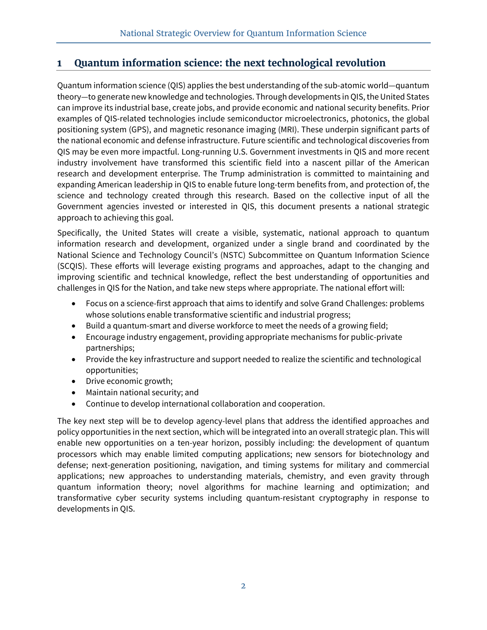## **1 Quantum information science: the next technological revolution**

Quantum information science (QIS) applies the best understanding of the sub-atomic world—quantum theory—to generate new knowledge and technologies. Through developments in QIS, the United States can improve its industrial base, create jobs, and provide economic and national security benefits. Prior examples of QIS-related technologies include semiconductor microelectronics, photonics, the global positioning system (GPS), and magnetic resonance imaging (MRI). These underpin significant parts of the national economic and defense infrastructure. Future scientific and technological discoveries from QIS may be even more impactful. Long-running U.S. Government investments in QIS and more recent industry involvement have transformed this scientific field into a nascent pillar of the American research and development enterprise. The Trump administration is committed to maintaining and expanding American leadership in QIS to enable future long-term benefits from, and protection of, the science and technology created through this research. Based on the collective input of all the Government agencies invested or interested in QIS, this document presents a national strategic approach to achieving this goal.

Specifically, the United States will create a visible, systematic, national approach to quantum information research and development, organized under a single brand and coordinated by the National Science and Technology Council's (NSTC) Subcommittee on Quantum Information Science (SCQIS). These efforts will leverage existing programs and approaches, adapt to the changing and improving scientific and technical knowledge, reflect the best understanding of opportunities and challenges in QIS for the Nation, and take new steps where appropriate. The national effort will:

- Focus on a science-first approach that aims to identify and solve Grand Challenges: problems whose solutions enable transformative scientific and industrial progress;
- Build a quantum-smart and diverse workforce to meet the needs of a growing field;
- Encourage industry engagement, providing appropriate mechanisms for public-private partnerships;
- Provide the key infrastructure and support needed to realize the scientific and technological opportunities;
- Drive economic growth;
- Maintain national security; and
- Continue to develop international collaboration and cooperation.

The key next step will be to develop agency-level plans that address the identified approaches and policy opportunities in the next section, which will be integrated into an overall strategic plan. This will enable new opportunities on a ten-year horizon, possibly including: the development of quantum processors which may enable limited computing applications; new sensors for biotechnology and defense; next-generation positioning, navigation, and timing systems for military and commercial applications; new approaches to understanding materials, chemistry, and even gravity through quantum information theory; novel algorithms for machine learning and optimization; and transformative cyber security systems including quantum-resistant cryptography in response to developments in QIS.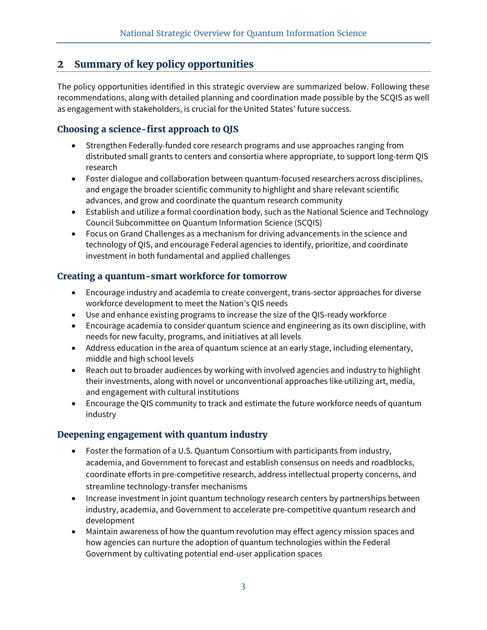## **2 Summary of key policy opportunities**

The policy opportunities identified in this strategic overview are summarized below. Following these recommendations, along with detailed planning and coordination made possible by the SCQIS as well as engagement with stakeholders, is crucial for the United States' future success.

#### **Choosing a science-first approach to QIS**

- Strengthen Federally-funded core research programs and use approaches ranging from distributed small grants to centers and consortia where appropriate, to support long-term QIS research
- Foster dialogue and collaboration between quantum-focused researchers across disciplines, and engage the broader scientific community to highlight and share relevant scientific advances, and grow and coordinate the quantum research community
- Establish and utilize a formal coordination body, such as the National Science and Technology Council Subcommittee on Quantum Information Science (SCQIS)
- Focus on Grand Challenges as a mechanism for driving advancements in the science and technology of QIS, and encourage Federal agencies to identify, prioritize, and coordinate investment in both fundamental and applied challenges

#### **Creating a quantum-smart workforce for tomorrow**

- Encourage industry and academia to create convergent, trans-sector approaches for diverse workforce development to meet the Nation's QIS needs
- Use and enhance existing programs to increase the size of the QIS-ready workforce
- Encourage academia to consider quantum science and engineering as its own discipline, with needs for new faculty, programs, and initiatives at all levels
- Address education in the area of quantum science at an early stage, including elementary, middle and high school levels
- Reach out to broader audiences by working with involved agencies and industry to highlight their investments, along with novel or unconventional approaches like utilizing art, media, and engagement with cultural institutions
- Encourage the QIS community to track and estimate the future workforce needs of quantum industry

## **Deepening engagement with quantum industry**

- Foster the formation of a U.S. Quantum Consortium with participants from industry, academia, and Government to forecast and establish consensus on needs and roadblocks, coordinate efforts in pre-competitive research, address intellectual property concerns, and streamline technology-transfer mechanisms
- Increase investment in joint quantum technology research centers by partnerships between industry, academia, and Government to accelerate pre-competitive quantum research and development
- Maintain awareness of how the quantum revolution may effect agency mission spaces and how agencies can nurture the adoption of quantum technologies within the Federal Government by cultivating potential end-user application spaces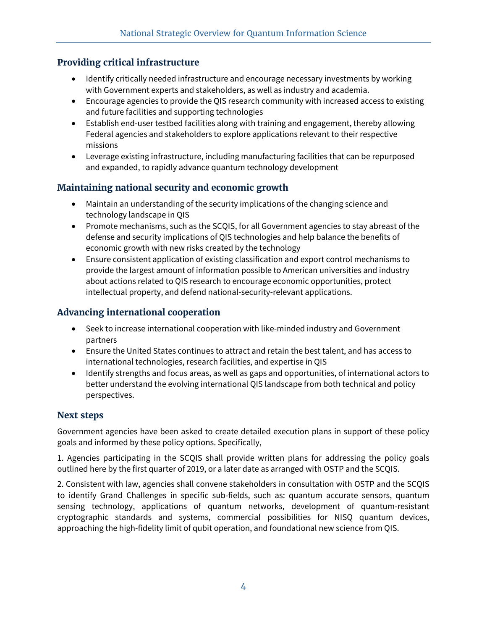#### **Providing critical infrastructure**

- Identify critically needed infrastructure and encourage necessary investments by working with Government experts and stakeholders, as well as industry and academia.
- Encourage agencies to provide the QIS research community with increased access to existing and future facilities and supporting technologies
- Establish end-user testbed facilities along with training and engagement, thereby allowing Federal agencies and stakeholders to explore applications relevant to their respective missions
- Leverage existing infrastructure, including manufacturing facilities that can be repurposed and expanded, to rapidly advance quantum technology development

#### **Maintaining national security and economic growth**

- Maintain an understanding of the security implications of the changing science and technology landscape in QIS
- Promote mechanisms, such as the SCQIS, for all Government agencies to stay abreast of the defense and security implications of QIS technologies and help balance the benefits of economic growth with new risks created by the technology
- Ensure consistent application of existing classification and export control mechanisms to provide the largest amount of information possible to American universities and industry about actions related to QIS research to encourage economic opportunities, protect intellectual property, and defend national-security-relevant applications.

#### **Advancing international cooperation**

- Seek to increase international cooperation with like-minded industry and Government partners
- Ensure the United States continues to attract and retain the best talent, and has access to international technologies, research facilities, and expertise in QIS
- Identify strengths and focus areas, as well as gaps and opportunities, of international actors to better understand the evolving international QIS landscape from both technical and policy perspectives.

#### **Next steps**

Government agencies have been asked to create detailed execution plans in support of these policy goals and informed by these policy options. Specifically,

1. Agencies participating in the SCQIS shall provide written plans for addressing the policy goals outlined here by the first quarter of 2019, or a later date as arranged with OSTP and the SCQIS.

2. Consistent with law, agencies shall convene stakeholders in consultation with OSTP and the SCQIS to identify Grand Challenges in specific sub-fields, such as: quantum accurate sensors, quantum sensing technology, applications of quantum networks, development of quantum-resistant cryptographic standards and systems, commercial possibilities for NISQ quantum devices, approaching the high-fidelity limit of qubit operation, and foundational new science from QIS.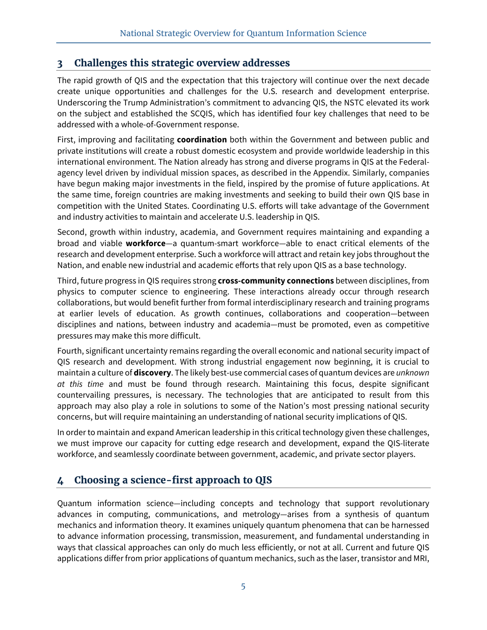## **3 Challenges this strategic overview addresses**

The rapid growth of QIS and the expectation that this trajectory will continue over the next decade create unique opportunities and challenges for the U.S. research and development enterprise. Underscoring the Trump Administration's commitment to advancing QIS, the NSTC elevated its work on the subject and established the SCQIS, which has identified four key challenges that need to be addressed with a whole-of-Government response.

First, improving and facilitating **coordination** both within the Government and between public and private institutions will create a robust domestic ecosystem and provide worldwide leadership in this international environment. The Nation already has strong and diverse programs in QIS at the Federalagency level driven by individual mission spaces, as described in the Appendix. Similarly, companies have begun making major investments in the field, inspired by the promise of future applications. At the same time, foreign countries are making investments and seeking to build their own QIS base in competition with the United States. Coordinating U.S. efforts will take advantage of the Government and industry activities to maintain and accelerate U.S. leadership in QIS.

Second, growth within industry, academia, and Government requires maintaining and expanding a broad and viable **workforce**—a quantum-smart workforce—able to enact critical elements of the research and development enterprise. Such a workforce will attract and retain key jobs throughout the Nation, and enable new industrial and academic efforts that rely upon QIS as a base technology.

Third, future progress in QIS requires strong **cross-community connections** between disciplines, from physics to computer science to engineering. These interactions already occur through research collaborations, but would benefit further from formal interdisciplinary research and training programs at earlier levels of education. As growth continues, collaborations and cooperation—between disciplines and nations, between industry and academia—must be promoted, even as competitive pressures may make this more difficult.

Fourth, significant uncertainty remains regarding the overall economic and national security impact of QIS research and development. With strong industrial engagement now beginning, it is crucial to maintain a culture of **discovery**. The likely best-use commercial cases of quantum devices are *unknown at this time* and must be found through research. Maintaining this focus, despite significant countervailing pressures, is necessary. The technologies that are anticipated to result from this approach may also play a role in solutions to some of the Nation's most pressing national security concerns, but will require maintaining an understanding of national security implications of QIS.

In order to maintain and expand American leadership in this critical technology given these challenges, we must improve our capacity for cutting edge research and development, expand the QIS-literate workforce, and seamlessly coordinate between government, academic, and private sector players.

## **4 Choosing a science-first approach to QIS**

Quantum information science—including concepts and technology that support revolutionary advances in computing, communications, and metrology—arises from a synthesis of quantum mechanics and information theory. It examines uniquely quantum phenomena that can be harnessed to advance information processing, transmission, measurement, and fundamental understanding in ways that classical approaches can only do much less efficiently, or not at all. Current and future QIS applications differ from prior applications of quantum mechanics, such as the laser, transistor and MRI,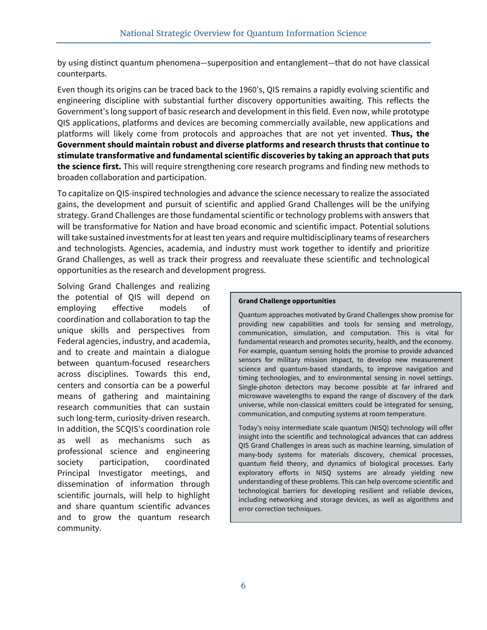by using distinct quantum phenomena—superposition and entanglement—that do not have classical counterparts.

Even though its origins can be traced back to the 1960's, QIS remains a rapidly evolving scientific and engineering discipline with substantial further discovery opportunities awaiting. This reflects the Government's long support of basic research and development in this field. Even now, while prototype QIS applications, platforms and devices are becoming commercially available, new applications and platforms will likely come from protocols and approaches that are not yet invented. **Thus, the Government should maintain robust and diverse platforms and research thrusts that continue to stimulate transformative and fundamental scientific discoveries by taking an approach that puts the science first.** This will require strengthening core research programs and finding new methods to broaden collaboration and participation.

To capitalize on QIS-inspired technologies and advance the science necessary to realize the associated gains, the development and pursuit of scientific and applied Grand Challenges will be the unifying strategy. Grand Challenges are those fundamental scientific or technology problems with answers that will be transformative for Nation and have broad economic and scientific impact. Potential solutions will take sustained investments for at least ten years and require multidisciplinary teams of researchers and technologists. Agencies, academia, and industry must work together to identify and prioritize Grand Challenges, as well as track their progress and reevaluate these scientific and technological opportunities as the research and development progress.

Solving Grand Challenges and realizing the potential of QIS will depend on employing effective models of coordination and collaboration to tap the unique skills and perspectives from Federal agencies, industry, and academia, and to create and maintain a dialogue between quantum-focused researchers across disciplines. Towards this end, centers and consortia can be a powerful means of gathering and maintaining research communities that can sustain such long-term, curiosity-driven research. In addition, the SCQIS's coordination role as well as mechanisms such as professional science and engineering society participation, coordinated Principal Investigator meetings, and dissemination of information through scientific journals, will help to highlight and share quantum scientific advances and to grow the quantum research community.

#### **Grand Challenge opportunities**

Quantum approaches motivated by Grand Challenges show promise for providing new capabilities and tools for sensing and metrology, communication, simulation, and computation. This is vital for fundamental research and promotes security, health, and the economy. For example, quantum sensing holds the promise to provide advanced sensors for military mission impact, to develop new measurement science and quantum-based standards, to improve navigation and timing technologies, and to environmental sensing in novel settings. Single-photon detectors may become possible at far infrared and microwave wavelengths to expand the range of discovery of the dark universe, while non-classical emitters could be integrated for sensing, communication, and computing systems at room temperature.

Today's noisy intermediate scale quantum (NISQ) technology will offer insight into the scientific and technological advances that can address QIS Grand Challenges in areas such as machine learning, simulation of many-body systems for materials discovery, chemical processes, quantum field theory, and dynamics of biological processes. Early exploratory efforts in NISQ systems are already yielding new understanding of these problems. This can help overcome scientific and technological barriers for developing resilient and reliable devices, including networking and storage devices, as well as algorithms and error correction techniques.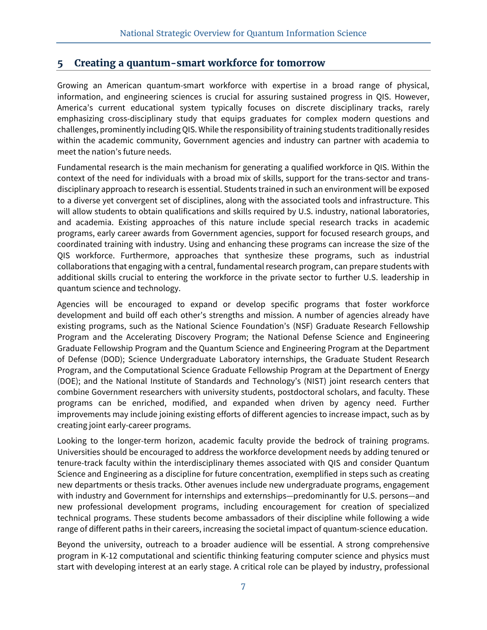#### **5 Creating a quantum-smart workforce for tomorrow**

Growing an American quantum-smart workforce with expertise in a broad range of physical, information, and engineering sciences is crucial for assuring sustained progress in QIS. However, America's current educational system typically focuses on discrete disciplinary tracks, rarely emphasizing cross-disciplinary study that equips graduates for complex modern questions and challenges, prominently including QIS. While the responsibility of training students traditionally resides within the academic community, Government agencies and industry can partner with academia to meet the nation's future needs.

Fundamental research is the main mechanism for generating a qualified workforce in QIS. Within the context of the need for individuals with a broad mix of skills, support for the trans-sector and transdisciplinary approach to research is essential. Students trained in such an environment will be exposed to a diverse yet convergent set of disciplines, along with the associated tools and infrastructure. This will allow students to obtain qualifications and skills required by U.S. industry, national laboratories, and academia. Existing approaches of this nature include special research tracks in academic programs, early career awards from Government agencies, support for focused research groups, and coordinated training with industry. Using and enhancing these programs can increase the size of the QIS workforce. Furthermore, approaches that synthesize these programs, such as industrial collaborations that engaging with a central, fundamental research program, can prepare students with additional skills crucial to entering the workforce in the private sector to further U.S. leadership in quantum science and technology.

Agencies will be encouraged to expand or develop specific programs that foster workforce development and build off each other's strengths and mission. A number of agencies already have existing programs, such as the National Science Foundation's (NSF) Graduate Research Fellowship Program and the Accelerating Discovery Program; the National Defense Science and Engineering Graduate Fellowship Program and the Quantum Science and Engineering Program at the Department of Defense (DOD); Science Undergraduate Laboratory internships, the Graduate Student Research Program, and the Computational Science Graduate Fellowship Program at the Department of Energy (DOE); and the National Institute of Standards and Technology's (NIST) joint research centers that combine Government researchers with university students, postdoctoral scholars, and faculty. These programs can be enriched, modified, and expanded when driven by agency need. Further improvements may include joining existing efforts of different agencies to increase impact, such as by creating joint early-career programs.

Looking to the longer-term horizon, academic faculty provide the bedrock of training programs. Universities should be encouraged to address the workforce development needs by adding tenured or tenure-track faculty within the interdisciplinary themes associated with QIS and consider Quantum Science and Engineering as a discipline for future concentration, exemplified in steps such as creating new departments or thesis tracks. Other avenues include new undergraduate programs, engagement with industry and Government for internships and externships—predominantly for U.S. persons—and new professional development programs, including encouragement for creation of specialized technical programs. These students become ambassadors of their discipline while following a wide range of different paths in their careers, increasing the societal impact of quantum-science education.

Beyond the university, outreach to a broader audience will be essential. A strong comprehensive program in K-12 computational and scientific thinking featuring computer science and physics must start with developing interest at an early stage. A critical role can be played by industry, professional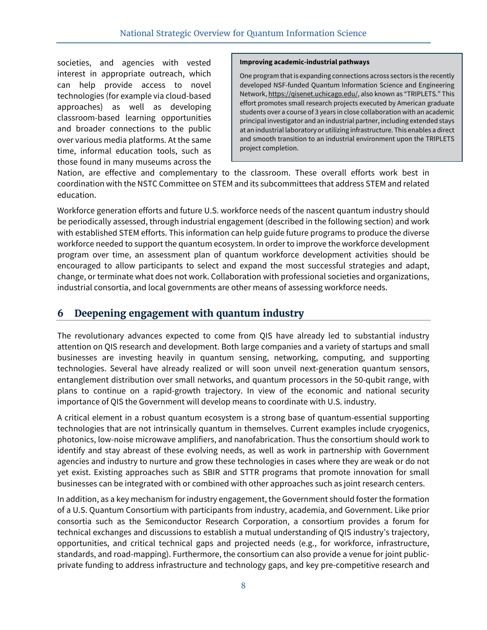societies, and agencies with vested interest in appropriate outreach, which can help provide access to novel technologies (for example via cloud-based approaches) as well as developing classroom-based learning opportunities and broader connections to the public over various media platforms. At the same time, informal education tools, such as those found in many museums across the

#### **Improving academic-industrial pathways**

One program that is expanding connections across sectors is the recently developed NSF-funded Quantum Information Science and Engineering Network, https://qisenet.uchicago.edu/, also known as "TRIPLETS." This effort promotes small research projects executed by American graduate students over a course of 3 years in close collaboration with an academic principal investigator and an industrial partner, including extended stays at an industrial laboratory or utilizing infrastructure. This enables a direct and smooth transition to an industrial environment upon the TRIPLETS project completion.

Nation, are effective and complementary to the classroom. These overall efforts work best in coordination with the NSTC Committee on STEM and its subcommittees that address STEM and related education.

Workforce generation efforts and future U.S. workforce needs of the nascent quantum industry should be periodically assessed, through industrial engagement (described in the following section) and work with established STEM efforts. This information can help guide future programs to produce the diverse workforce needed to support the quantum ecosystem. In order to improve the workforce development program over time, an assessment plan of quantum workforce development activities should be encouraged to allow participants to select and expand the most successful strategies and adapt, change, or terminate what does not work. Collaboration with professional societies and organizations, industrial consortia, and local governments are other means of assessing workforce needs.

#### **6 Deepening engagement with quantum industry**

The revolutionary advances expected to come from QIS have already led to substantial industry attention on QIS research and development. Both large companies and a variety of startups and small businesses are investing heavily in quantum sensing, networking, computing, and supporting technologies. Several have already realized or will soon unveil next-generation quantum sensors, entanglement distribution over small networks, and quantum processors in the 50-qubit range, with plans to continue on a rapid-growth trajectory. In view of the economic and national security importance of QIS the Government will develop means to coordinate with U.S. industry.

A critical element in a robust quantum ecosystem is a strong base of quantum-essential supporting technologies that are not intrinsically quantum in themselves. Current examples include cryogenics, photonics, low-noise microwave amplifiers, and nanofabrication. Thus the consortium should work to identify and stay abreast of these evolving needs, as well as work in partnership with Government agencies and industry to nurture and grow these technologies in cases where they are weak or do not yet exist. Existing approaches such as SBIR and STTR programs that promote innovation for small businesses can be integrated with or combined with other approaches such as joint research centers.

In addition, as a key mechanism for industry engagement, the Government should foster the formation of a U.S. Quantum Consortium with participants from industry, academia, and Government. Like prior consortia such as the Semiconductor Research Corporation, a consortium provides a forum for technical exchanges and discussions to establish a mutual understanding of QIS industry's trajectory, opportunities, and critical technical gaps and projected needs (e.g., for workforce, infrastructure, standards, and road-mapping). Furthermore, the consortium can also provide a venue for joint publicprivate funding to address infrastructure and technology gaps, and key pre-competitive research and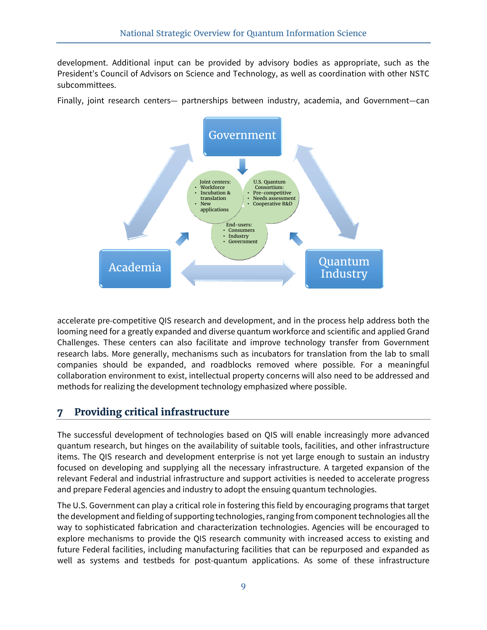development. Additional input can be provided by advisory bodies as appropriate, such as the President's Council of Advisors on Science and Technology, as well as coordination with other NSTC subcommittees.

Finally, joint research centers— partnerships between industry, academia, and Government—can



accelerate pre-competitive QIS research and development, and in the process help address both the looming need for a greatly expanded and diverse quantum workforce and scientific and applied Grand Challenges. These centers can also facilitate and improve technology transfer from Government research labs. More generally, mechanisms such as incubators for translation from the lab to small companies should be expanded, and roadblocks removed where possible. For a meaningful collaboration environment to exist, intellectual property concerns will also need to be addressed and methods for realizing the development technology emphasized where possible.

## **7 Providing critical infrastructure**

The successful development of technologies based on QIS will enable increasingly more advanced quantum research, but hinges on the availability of suitable tools, facilities, and other infrastructure items. The QIS research and development enterprise is not yet large enough to sustain an industry focused on developing and supplying all the necessary infrastructure. A targeted expansion of the relevant Federal and industrial infrastructure and support activities is needed to accelerate progress and prepare Federal agencies and industry to adopt the ensuing quantum technologies.

The U.S. Government can play a critical role in fostering this field by encouraging programs that target the development and fielding of supporting technologies, ranging from component technologies all the way to sophisticated fabrication and characterization technologies. Agencies will be encouraged to explore mechanisms to provide the QIS research community with increased access to existing and future Federal facilities, including manufacturing facilities that can be repurposed and expanded as well as systems and testbeds for post-quantum applications. As some of these infrastructure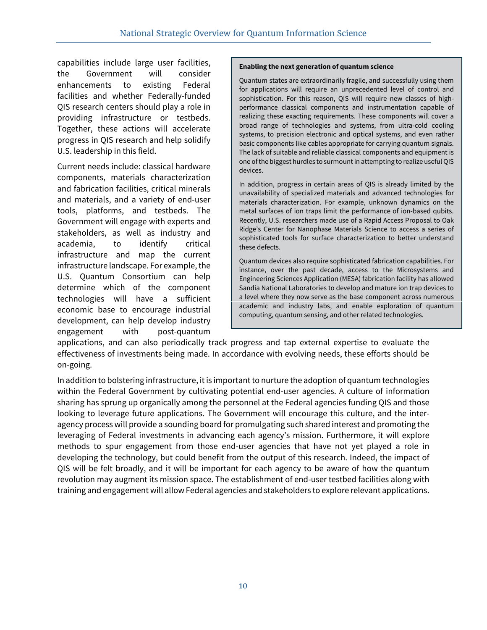capabilities include large user facilities, the Government will consider enhancements to existing Federal facilities and whether Federally-funded QIS research centers should play a role in providing infrastructure or testbeds. Together, these actions will accelerate progress in QIS research and help solidify U.S. leadership in this field.

Current needs include: classical hardware components, materials characterization and fabrication facilities, critical minerals and materials, and a variety of end-user tools, platforms, and testbeds. The Government will engage with experts and stakeholders, as well as industry and academia, to identify critical infrastructure and map the current infrastructure landscape. For example, the U.S. Quantum Consortium can help determine which of the component technologies will have a sufficient economic base to encourage industrial development, can help develop industry engagement with post-quantum

#### **Enabling the next generation of quantum science**

Quantum states are extraordinarily fragile, and successfully using them for applications will require an unprecedented level of control and sophistication. For this reason, QIS will require new classes of highperformance classical components and instrumentation capable of realizing these exacting requirements. These components will cover a broad range of technologies and systems, from ultra-cold cooling systems, to precision electronic and optical systems, and even rather basic components like cables appropriate for carrying quantum signals. The lack of suitable and reliable classical components and equipment is one of the biggest hurdles to surmount in attempting to realize useful QIS devices.

In addition, progress in certain areas of QIS is already limited by the unavailability of specialized materials and advanced technologies for materials characterization. For example, unknown dynamics on the metal surfaces of ion traps limit the performance of ion-based qubits. Recently, U.S. researchers made use of a Rapid Access Proposal to Oak Ridge's Center for Nanophase Materials Science to access a series of sophisticated tools for surface characterization to better understand these defects.

Quantum devices also require sophisticated fabrication capabilities. For instance, over the past decade, access to the Microsystems and Engineering Sciences Application (MESA) fabrication facility has allowed Sandia National Laboratories to develop and mature ion trap devices to a level where they now serve as the base component across numerous academic and industry labs, and enable exploration of quantum computing, quantum sensing, and other related technologies.

applications, and can also periodically track progress and tap external expertise to evaluate the effectiveness of investments being made. In accordance with evolving needs, these efforts should be on-going.

In addition to bolstering infrastructure, it is important to nurture the adoption of quantum technologies within the Federal Government by cultivating potential end-user agencies. A culture of information sharing has sprung up organically among the personnel at the Federal agencies funding QIS and those looking to leverage future applications. The Government will encourage this culture, and the interagency process will provide a sounding board for promulgating such shared interest and promoting the leveraging of Federal investments in advancing each agency's mission. Furthermore, it will explore methods to spur engagement from those end-user agencies that have not yet played a role in developing the technology, but could benefit from the output of this research. Indeed, the impact of QIS will be felt broadly, and it will be important for each agency to be aware of how the quantum revolution may augment its mission space. The establishment of end-user testbed facilities along with training and engagement will allow Federal agencies and stakeholders to explore relevant applications.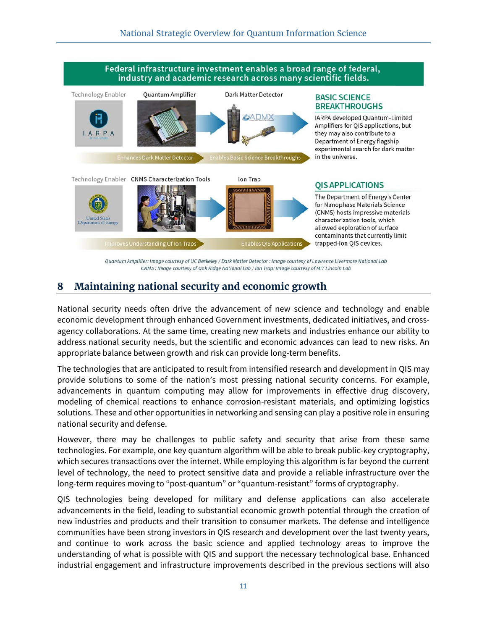

Quantum Amplifier: Image courtesy of UC Berkeley / Dark Matter Detector : Image courtesy of Lawrence Livermore National Lab CNMS : Image courtesy of Oak Ridge National Lab / Ion Trap: Image courtesy of MIT Lincoln Lab

## **8 Maintaining national security and economic growth**

National security needs often drive the advancement of new science and technology and enable economic development through enhanced Government investments, dedicated initiatives, and crossagency collaborations. At the same time, creating new markets and industries enhance our ability to address national security needs, but the scientific and economic advances can lead to new risks. An appropriate balance between growth and risk can provide long-term benefits.

The technologies that are anticipated to result from intensified research and development in QIS may provide solutions to some of the nation's most pressing national security concerns. For example, advancements in quantum computing may allow for improvements in effective drug discovery, modeling of chemical reactions to enhance corrosion-resistant materials, and optimizing logistics solutions. These and other opportunities in networking and sensing can play a positive role in ensuring national security and defense.

However, there may be challenges to public safety and security that arise from these same technologies. For example, one key quantum algorithm will be able to break public-key cryptography, which secures transactions over the internet. While employing this algorithm is far beyond the current level of technology, the need to protect sensitive data and provide a reliable infrastructure over the long-term requires moving to "post-quantum" or "quantum-resistant" forms of cryptography.

QIS technologies being developed for military and defense applications can also accelerate advancements in the field, leading to substantial economic growth potential through the creation of new industries and products and their transition to consumer markets. The defense and intelligence communities have been strong investors in QIS research and development over the last twenty years, and continue to work across the basic science and applied technology areas to improve the understanding of what is possible with QIS and support the necessary technological base. Enhanced industrial engagement and infrastructure improvements described in the previous sections will also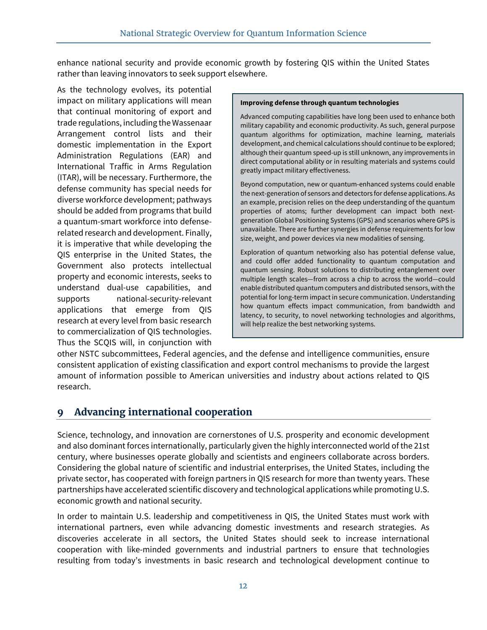enhance national security and provide economic growth by fostering QIS within the United States rather than leaving innovators to seek support elsewhere.

As the technology evolves, its potential impact on military applications will mean that continual monitoring of export and trade regulations, including the Wassenaar Arrangement control lists and their domestic implementation in the Export Administration Regulations (EAR) and International Traffic in Arms Regulation (ITAR), will be necessary. Furthermore, the defense community has special needs for diverse workforce development; pathways should be added from programs that build a quantum-smart workforce into defenserelated research and development. Finally, it is imperative that while developing the QIS enterprise in the United States, the Government also protects intellectual property and economic interests, seeks to understand dual-use capabilities, and supports national-security-relevant applications that emerge from QIS research at every level from basic research to commercialization of QIS technologies. Thus the SCQIS will, in conjunction with

#### **Improving defense through quantum technologies**

Advanced computing capabilities have long been used to enhance both military capability and economic productivity. As such, general purpose quantum algorithms for optimization, machine learning, materials development, and chemical calculations should continue to be explored; although their quantum speed-up is still unknown, any improvements in direct computational ability or in resulting materials and systems could greatly impact military effectiveness.

Beyond computation, new or quantum-enhanced systems could enable the next-generation of sensors and detectors for defense applications. As an example, precision relies on the deep understanding of the quantum properties of atoms; further development can impact both nextgeneration Global Positioning Systems (GPS) and scenarios where GPS is unavailable. There are further synergies in defense requirements for low size, weight, and power devices via new modalities of sensing.

Exploration of quantum networking also has potential defense value, and could offer added functionality to quantum computation and quantum sensing. Robust solutions to distributing entanglement over multiple length scales—from across a chip to across the world—could enable distributed quantum computers and distributed sensors, with the potential for long-term impact in secure communication. Understanding how quantum effects impact communication, from bandwidth and latency, to security, to novel networking technologies and algorithms, will help realize the best networking systems.

other NSTC subcommittees, Federal agencies, and the defense and intelligence communities, ensure consistent application of existing classification and export control mechanisms to provide the largest amount of information possible to American universities and industry about actions related to QIS research.

## **9 Advancing international cooperation**

Science, technology, and innovation are cornerstones of U.S. prosperity and economic development and also dominant forces internationally, particularly given the highly interconnected world of the 21st century, where businesses operate globally and scientists and engineers collaborate across borders. Considering the global nature of scientific and industrial enterprises, the United States, including the private sector, has cooperated with foreign partners in QIS research for more than twenty years. These partnerships have accelerated scientific discovery and technological applications while promoting U.S. economic growth and national security.

In order to maintain U.S. leadership and competitiveness in QIS, the United States must work with international partners, even while advancing domestic investments and research strategies. As discoveries accelerate in all sectors, the United States should seek to increase international cooperation with like-minded governments and industrial partners to ensure that technologies resulting from today's investments in basic research and technological development continue to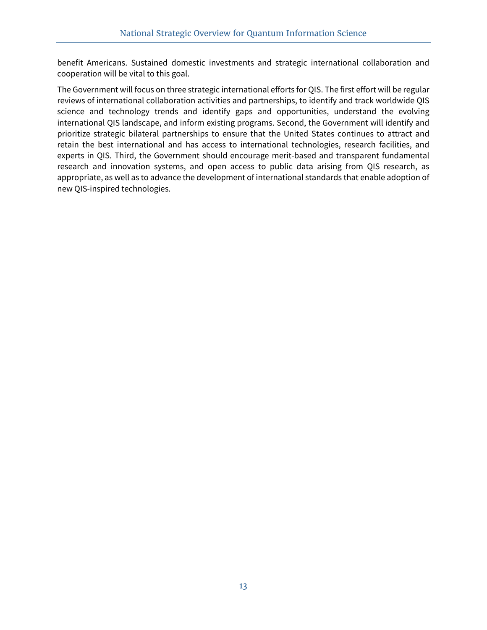benefit Americans. Sustained domestic investments and strategic international collaboration and cooperation will be vital to this goal.

The Government will focus on three strategic international efforts for QIS. The first effort will be regular reviews of international collaboration activities and partnerships, to identify and track worldwide QIS science and technology trends and identify gaps and opportunities, understand the evolving international QIS landscape, and inform existing programs. Second, the Government will identify and prioritize strategic bilateral partnerships to ensure that the United States continues to attract and retain the best international and has access to international technologies, research facilities, and experts in QIS. Third, the Government should encourage merit-based and transparent fundamental research and innovation systems, and open access to public data arising from QIS research, as appropriate, as well as to advance the development of international standards that enable adoption of new QIS-inspired technologies.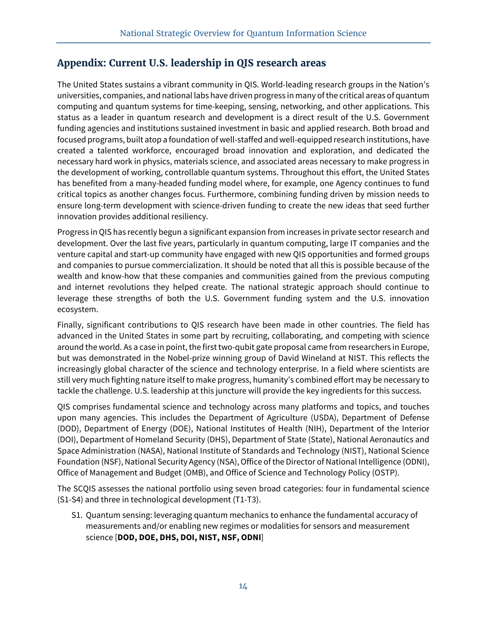## **Appendix: Current U.S. leadership in QIS research areas**

The United States sustains a vibrant community in QIS. World-leading research groups in the Nation's universities, companies, and national labs have driven progress in many of the critical areas of quantum computing and quantum systems for time-keeping, sensing, networking, and other applications. This status as a leader in quantum research and development is a direct result of the U.S. Government funding agencies and institutions sustained investment in basic and applied research. Both broad and focused programs, built atop a foundation of well-staffed and well-equipped research institutions, have created a talented workforce, encouraged broad innovation and exploration, and dedicated the necessary hard work in physics, materials science, and associated areas necessary to make progress in the development of working, controllable quantum systems. Throughout this effort, the United States has benefited from a many-headed funding model where, for example, one Agency continues to fund critical topics as another changes focus. Furthermore, combining funding driven by mission needs to ensure long-term development with science-driven funding to create the new ideas that seed further innovation provides additional resiliency.

Progress in QIS has recently begun a significant expansion from increases in private sector research and development. Over the last five years, particularly in quantum computing, large IT companies and the venture capital and start-up community have engaged with new QIS opportunities and formed groups and companies to pursue commercialization. It should be noted that all this is possible because of the wealth and know-how that these companies and communities gained from the previous computing and internet revolutions they helped create. The national strategic approach should continue to leverage these strengths of both the U.S. Government funding system and the U.S. innovation ecosystem.

Finally, significant contributions to QIS research have been made in other countries. The field has advanced in the United States in some part by recruiting, collaborating, and competing with science around the world. As a case in point, the first two-qubit gate proposal came from researchers in Europe, but was demonstrated in the Nobel-prize winning group of David Wineland at NIST. This reflects the increasingly global character of the science and technology enterprise. In a field where scientists are still very much fighting nature itself to make progress, humanity's combined effort may be necessary to tackle the challenge. U.S. leadership at this juncture will provide the key ingredients for this success.

QIS comprises fundamental science and technology across many platforms and topics, and touches upon many agencies. This includes the Department of Agriculture (USDA), Department of Defense (DOD), Department of Energy (DOE), National Institutes of Health (NIH), Department of the Interior (DOI), Department of Homeland Security (DHS), Department of State (State), National Aeronautics and Space Administration (NASA), National Institute of Standards and Technology (NIST), National Science Foundation (NSF), National Security Agency (NSA), Office of the Director of National Intelligence (ODNI), Office of Management and Budget (OMB), and Office of Science and Technology Policy (OSTP).

The SCQIS assesses the national portfolio using seven broad categories: four in fundamental science (S1-S4) and three in technological development (T1-T3).

S1. Quantum sensing: leveraging quantum mechanics to enhance the fundamental accuracy of measurements and/or enabling new regimes or modalities for sensors and measurement science [**DOD, DOE, DHS, DOI, NIST, NSF, ODNI**]